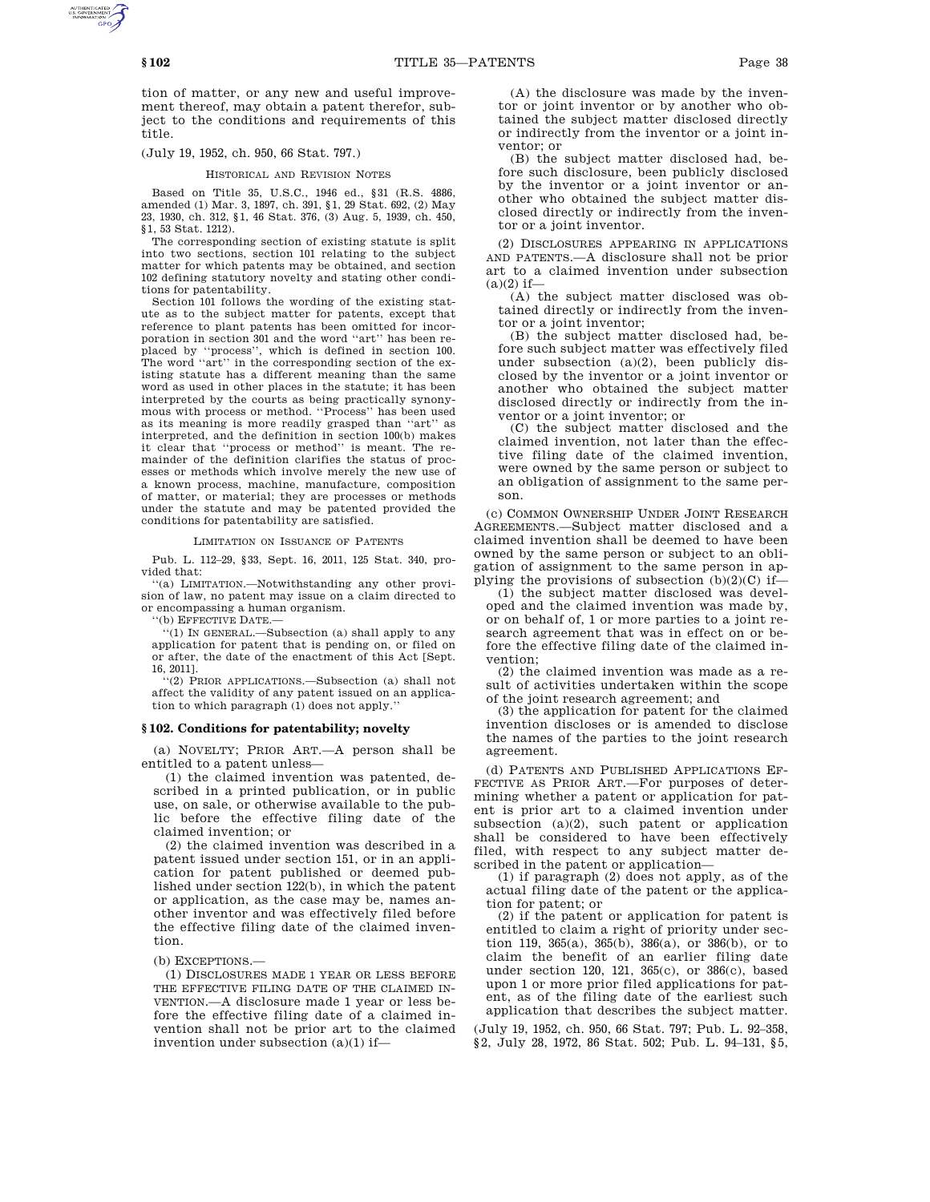tion of matter, or any new and useful improvement thereof, may obtain a patent therefor, subject to the conditions and requirements of this title.

(July 19, 1952, ch. 950, 66 Stat. 797.)

## HISTORICAL AND REVISION NOTES

Based on Title 35, U.S.C., 1946 ed., §31 (R.S. 4886, amended (1) Mar. 3, 1897, ch. 391, §1, 29 Stat. 692, (2) May 23, 1930, ch. 312, §1, 46 Stat. 376, (3) Aug. 5, 1939, ch. 450, §1, 53 Stat. 1212).

The corresponding section of existing statute is split into two sections, section 101 relating to the subject matter for which patents may be obtained, and section 102 defining statutory novelty and stating other conditions for patentability.

Section 101 follows the wording of the existing statute as to the subject matter for patents, except that reference to plant patents has been omitted for incorporation in section 301 and the word ''art'' has been replaced by ''process'', which is defined in section 100. The word "art" in the corresponding section of the existing statute has a different meaning than the same word as used in other places in the statute; it has been interpreted by the courts as being practically synonymous with process or method. ''Process'' has been used as its meaning is more readily grasped than ''art'' as interpreted, and the definition in section 100(b) makes it clear that ''process or method'' is meant. The remainder of the definition clarifies the status of processes or methods which involve merely the new use of a known process, machine, manufacture, composition of matter, or material; they are processes or methods under the statute and may be patented provided the conditions for patentability are satisfied.

## LIMITATION ON ISSUANCE OF PATENTS

Pub. L. 112–29, §33, Sept. 16, 2011, 125 Stat. 340, provided that:

'(a) LIMITATION.--Notwithstanding any other provision of law, no patent may issue on a claim directed to or encompassing a human organism.

''(b) EFFECTIVE DATE.—

''(1) IN GENERAL.—Subsection (a) shall apply to any application for patent that is pending on, or filed on or after, the date of the enactment of this Act [Sept. 16, 2011].

''(2) PRIOR APPLICATIONS.—Subsection (a) shall not affect the validity of any patent issued on an application to which paragraph (1) does not apply.''

### **§ 102. Conditions for patentability; novelty**

(a) NOVELTY; PRIOR ART.—A person shall be entitled to a patent unless—

(1) the claimed invention was patented, described in a printed publication, or in public use, on sale, or otherwise available to the public before the effective filing date of the claimed invention; or

(2) the claimed invention was described in a patent issued under section 151, or in an application for patent published or deemed published under section 122(b), in which the patent or application, as the case may be, names another inventor and was effectively filed before the effective filing date of the claimed invention.

(b) EXCEPTIONS.—

(1) DISCLOSURES MADE 1 YEAR OR LESS BEFORE THE EFFECTIVE FILING DATE OF THE CLAIMED IN-VENTION.—A disclosure made 1 year or less before the effective filing date of a claimed invention shall not be prior art to the claimed invention under subsection (a)(1) if—

(A) the disclosure was made by the inventor or joint inventor or by another who obtained the subject matter disclosed directly or indirectly from the inventor or a joint inventor; or

(B) the subject matter disclosed had, before such disclosure, been publicly disclosed by the inventor or a joint inventor or another who obtained the subject matter disclosed directly or indirectly from the inventor or a joint inventor.

(2) DISCLOSURES APPEARING IN APPLICATIONS AND PATENTS.—A disclosure shall not be prior art to a claimed invention under subsection  $(a)(2)$  if-

(A) the subject matter disclosed was obtained directly or indirectly from the inventor or a joint inventor;

(B) the subject matter disclosed had, before such subject matter was effectively filed under subsection  $(a)(2)$ , been publicly disclosed by the inventor or a joint inventor or another who obtained the subject matter disclosed directly or indirectly from the inventor or a joint inventor; or

(C) the subject matter disclosed and the claimed invention, not later than the effective filing date of the claimed invention, were owned by the same person or subject to an obligation of assignment to the same person.

(c) COMMON OWNERSHIP UNDER JOINT RESEARCH AGREEMENTS.—Subject matter disclosed and a claimed invention shall be deemed to have been owned by the same person or subject to an obligation of assignment to the same person in applying the provisions of subsection  $(b)(2)(C)$  if—

(1) the subject matter disclosed was developed and the claimed invention was made by, or on behalf of, 1 or more parties to a joint research agreement that was in effect on or before the effective filing date of the claimed invention;

(2) the claimed invention was made as a result of activities undertaken within the scope of the joint research agreement; and

(3) the application for patent for the claimed invention discloses or is amended to disclose the names of the parties to the joint research agreement.

(d) PATENTS AND PUBLISHED APPLICATIONS EF-FECTIVE AS PRIOR ART.—For purposes of determining whether a patent or application for patent is prior art to a claimed invention under subsection (a)(2), such patent or application shall be considered to have been effectively filed, with respect to any subject matter described in the patent or application—

(1) if paragraph (2) does not apply, as of the actual filing date of the patent or the application for patent; or

(2) if the patent or application for patent is entitled to claim a right of priority under section 119, 365(a), 365(b), 386(a), or 386(b), or to claim the benefit of an earlier filing date under section 120, 121, 365(c), or 386(c), based upon 1 or more prior filed applications for patent, as of the filing date of the earliest such application that describes the subject matter.

(July 19, 1952, ch. 950, 66 Stat. 797; Pub. L. 92–358, §2, July 28, 1972, 86 Stat. 502; Pub. L. 94–131, §5,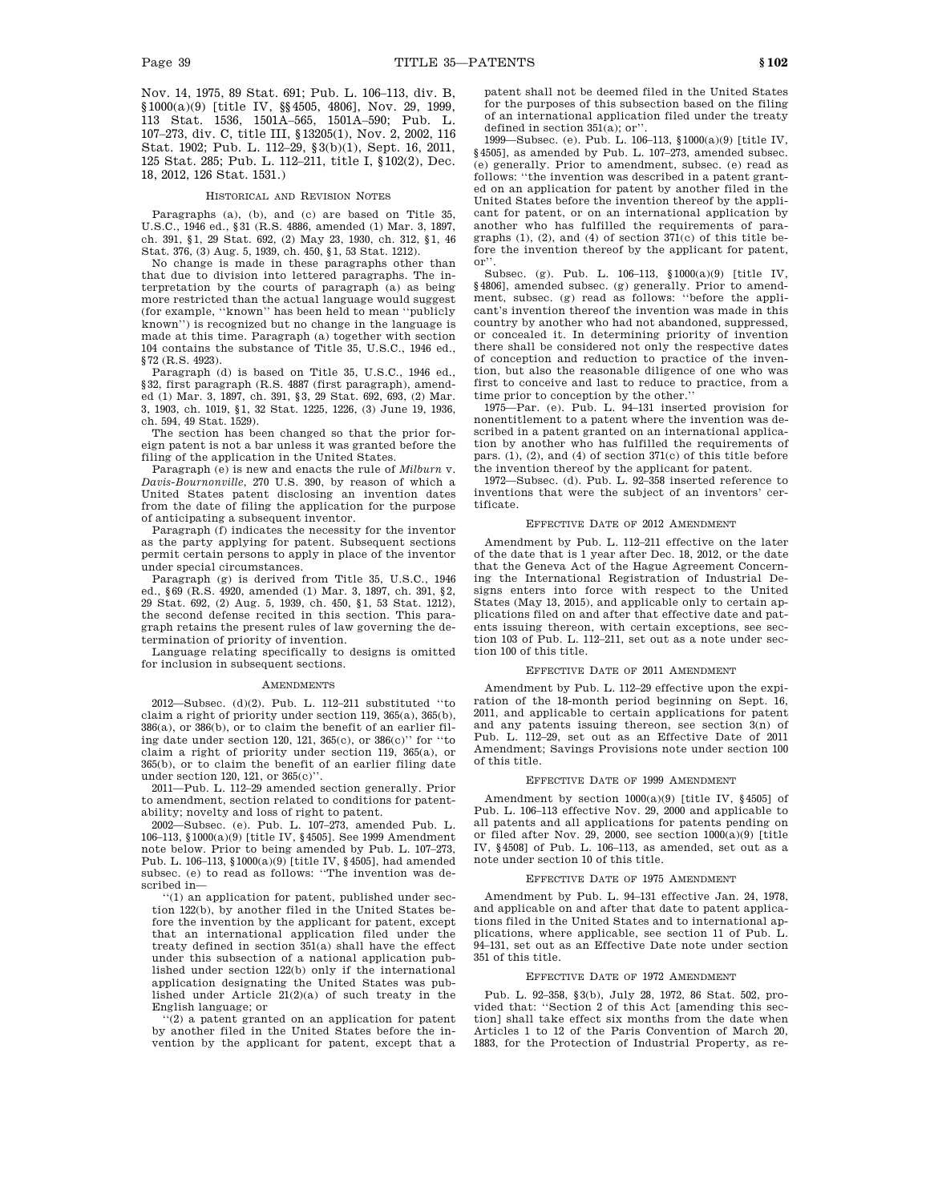Nov. 14, 1975, 89 Stat. 691; Pub. L. 106–113, div. B, §1000(a)(9) [title IV, §§4505, 4806], Nov. 29, 1999, 113 Stat. 1536, 1501A–565, 1501A–590; Pub. L. 107–273, div. C, title III, §13205(1), Nov. 2, 2002, 116 Stat. 1902; Pub. L. 112–29, §3(b)(1), Sept. 16, 2011, 125 Stat. 285; Pub. L. 112–211, title I, §102(2), Dec. 18, 2012, 126 Stat. 1531.)

### HISTORICAL AND REVISION NOTES

Paragraphs (a), (b), and (c) are based on Title 35, U.S.C., 1946 ed., §31 (R.S. 4886, amended (1) Mar. 3, 1897, ch. 391, §1, 29 Stat. 692, (2) May 23, 1930, ch. 312, §1, 46 Stat. 376, (3) Aug. 5, 1939, ch. 450, §1, 53 Stat. 1212).

No change is made in these paragraphs other than that due to division into lettered paragraphs. The interpretation by the courts of paragraph (a) as being more restricted than the actual language would suggest (for example, ''known'' has been held to mean ''publicly known'') is recognized but no change in the language is made at this time. Paragraph (a) together with section 104 contains the substance of Title 35, U.S.C., 1946 ed., §72 (R.S. 4923).

Paragraph (d) is based on Title 35, U.S.C., 1946 ed., §32, first paragraph (R.S. 4887 (first paragraph), amended (1) Mar. 3, 1897, ch. 391, §3, 29 Stat. 692, 693, (2) Mar. 3, 1903, ch. 1019, §1, 32 Stat. 1225, 1226, (3) June 19, 1936, ch. 594, 49 Stat. 1529).

The section has been changed so that the prior foreign patent is not a bar unless it was granted before the filing of the application in the United States.

Paragraph (e) is new and enacts the rule of *Milburn* v. *Davis-Bournonville*, 270 U.S. 390, by reason of which a United States patent disclosing an invention dates from the date of filing the application for the purpose of anticipating a subsequent inventor.

Paragraph (f) indicates the necessity for the inventor as the party applying for patent. Subsequent sections permit certain persons to apply in place of the inventor under special circumstances.

Paragraph (g) is derived from Title 35, U.S.C., 1946 ed., §69 (R.S. 4920, amended (1) Mar. 3, 1897, ch. 391, §2, 29 Stat. 692, (2) Aug. 5, 1939, ch. 450, §1, 53 Stat. 1212), the second defense recited in this section. This paragraph retains the present rules of law governing the determination of priority of invention.

Language relating specifically to designs is omitted for inclusion in subsequent sections.

#### **AMENDMENTS**

2012—Subsec. (d)(2). Pub. L. 112–211 substituted ''to claim a right of priority under section 119, 365(a), 365(b), 386(a), or 386(b), or to claim the benefit of an earlier filing date under section 120, 121, 365(c), or 386(c)'' for ''to claim a right of priority under section 119, 365(a), or 365(b), or to claim the benefit of an earlier filing date under section 120, 121, or 365(c)''.

2011—Pub. L. 112–29 amended section generally. Prior to amendment, section related to conditions for patentability; novelty and loss of right to patent.

2002—Subsec. (e). Pub. L. 107–273, amended Pub. L. 106–113, §1000(a)(9) [title IV, §4505]. See 1999 Amendment note below. Prior to being amended by Pub. L. 107–273, Pub. L. 106–113, §1000(a)(9) [title IV, §4505], had amended subsec. (e) to read as follows: ''The invention was described in—

''(1) an application for patent, published under section 122(b), by another filed in the United States before the invention by the applicant for patent, except that an international application filed under the treaty defined in section 351(a) shall have the effect under this subsection of a national application published under section 122(b) only if the international application designating the United States was published under Article 21(2)(a) of such treaty in the English language; or

''(2) a patent granted on an application for patent by another filed in the United States before the invention by the applicant for patent, except that a patent shall not be deemed filed in the United States for the purposes of this subsection based on the filing of an international application filed under the treaty defined in section 351(a); or''.

1999—Subsec. (e). Pub. L. 106–113, §1000(a)(9) [title IV, §4505], as amended by Pub. L. 107–273, amended subsec. (e) generally. Prior to amendment, subsec. (e) read as follows: ''the invention was described in a patent granted on an application for patent by another filed in the United States before the invention thereof by the applicant for patent, or on an international application by another who has fulfilled the requirements of paragraphs (1), (2), and (4) of section 371(c) of this title before the invention thereof by the applicant for patent, or''.

Subsec. (g). Pub. L. 106–113, §1000(a)(9) [title IV, §4806], amended subsec. (g) generally. Prior to amend-ment, subsec. (g) read as follows: ''before the applicant's invention thereof the invention was made in this country by another who had not abandoned, suppressed, or concealed it. In determining priority of invention there shall be considered not only the respective dates of conception and reduction to practice of the invention, but also the reasonable diligence of one who was first to conceive and last to reduce to practice, from a time prior to conception by the other.''

1975—Par. (e). Pub. L. 94–131 inserted provision for nonentitlement to a patent where the invention was described in a patent granted on an international application by another who has fulfilled the requirements of pars. (1), (2), and (4) of section 371(c) of this title before the invention thereof by the applicant for patent.

1972—Subsec. (d). Pub. L. 92–358 inserted reference to inventions that were the subject of an inventors' certificate.

### EFFECTIVE DATE OF 2012 AMENDMENT

Amendment by Pub. L. 112–211 effective on the later of the date that is 1 year after Dec. 18, 2012, or the date that the Geneva Act of the Hague Agreement Concerning the International Registration of Industrial Designs enters into force with respect to the United States (May 13, 2015), and applicable only to certain applications filed on and after that effective date and patents issuing thereon, with certain exceptions, see section 103 of Pub. L. 112–211, set out as a note under section 100 of this title.

### EFFECTIVE DATE OF 2011 AMENDMENT

Amendment by Pub. L. 112–29 effective upon the expiration of the 18-month period beginning on Sept. 16, 2011, and applicable to certain applications for patent and any patents issuing thereon, see section 3(n) of Pub. L. 112–29, set out as an Effective Date of 2011 Amendment; Savings Provisions note under section 100 of this title.

#### EFFECTIVE DATE OF 1999 AMENDMENT

Amendment by section 1000(a)(9) [title IV, §4505] of Pub. L. 106–113 effective Nov. 29, 2000 and applicable to all patents and all applications for patents pending on or filed after Nov. 29, 2000, see section 1000(a)(9) [title IV, §4508] of Pub. L. 106–113, as amended, set out as a note under section 10 of this title.

#### EFFECTIVE DATE OF 1975 AMENDMENT

Amendment by Pub. L. 94–131 effective Jan. 24, 1978, and applicable on and after that date to patent applications filed in the United States and to international applications, where applicable, see section 11 of Pub. L. 94–131, set out as an Effective Date note under section 351 of this title.

## EFFECTIVE DATE OF 1972 AMENDMENT

Pub. L. 92–358, §3(b), July 28, 1972, 86 Stat. 502, provided that: ''Section 2 of this Act [amending this section] shall take effect six months from the date when Articles 1 to 12 of the Paris Convention of March 20, 1883, for the Protection of Industrial Property, as re